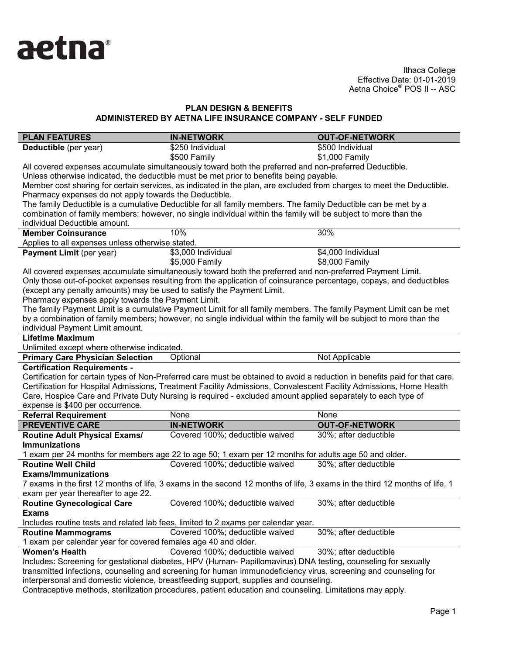

# **PLAN DESIGN & BENEFITS ADMINISTERED BY AETNA LIFE INSURANCE COMPANY - SELF FUNDED**

| <b>PLAN FEATURES</b>                                                                                                       | <b>IN-NETWORK</b>                                                                                                                                                                                 | <b>OUT-OF-NETWORK</b>                |  |  |
|----------------------------------------------------------------------------------------------------------------------------|---------------------------------------------------------------------------------------------------------------------------------------------------------------------------------------------------|--------------------------------------|--|--|
| Deductible (per year)                                                                                                      | \$250 Individual                                                                                                                                                                                  | \$500 Individual                     |  |  |
|                                                                                                                            | \$500 Family                                                                                                                                                                                      | \$1,000 Family                       |  |  |
|                                                                                                                            | All covered expenses accumulate simultaneously toward both the preferred and non-preferred Deductible.                                                                                            |                                      |  |  |
|                                                                                                                            | Unless otherwise indicated, the deductible must be met prior to benefits being payable.                                                                                                           |                                      |  |  |
|                                                                                                                            | Member cost sharing for certain services, as indicated in the plan, are excluded from charges to meet the Deductible.                                                                             |                                      |  |  |
| Pharmacy expenses do not apply towards the Deductible.                                                                     |                                                                                                                                                                                                   |                                      |  |  |
|                                                                                                                            | The family Deductible is a cumulative Deductible for all family members. The family Deductible can be met by a                                                                                    |                                      |  |  |
|                                                                                                                            | combination of family members; however, no single individual within the family will be subject to more than the                                                                                   |                                      |  |  |
| individual Deductible amount.                                                                                              |                                                                                                                                                                                                   |                                      |  |  |
| <b>Member Coinsurance</b>                                                                                                  | 10%                                                                                                                                                                                               | 30%                                  |  |  |
| Applies to all expenses unless otherwise stated.                                                                           |                                                                                                                                                                                                   |                                      |  |  |
| Payment Limit (per year)                                                                                                   | \$3,000 Individual<br>\$5,000 Family                                                                                                                                                              | \$4,000 Individual<br>\$8,000 Family |  |  |
|                                                                                                                            | All covered expenses accumulate simultaneously toward both the preferred and non-preferred Payment Limit.                                                                                         |                                      |  |  |
|                                                                                                                            | Only those out-of-pocket expenses resulting from the application of coinsurance percentage, copays, and deductibles                                                                               |                                      |  |  |
| (except any penalty amounts) may be used to satisfy the Payment Limit.                                                     |                                                                                                                                                                                                   |                                      |  |  |
| Pharmacy expenses apply towards the Payment Limit.                                                                         |                                                                                                                                                                                                   |                                      |  |  |
|                                                                                                                            | The family Payment Limit is a cumulative Payment Limit for all family members. The family Payment Limit can be met                                                                                |                                      |  |  |
|                                                                                                                            | by a combination of family members; however, no single individual within the family will be subject to more than the                                                                              |                                      |  |  |
| individual Payment Limit amount.                                                                                           |                                                                                                                                                                                                   |                                      |  |  |
| <b>Lifetime Maximum</b>                                                                                                    |                                                                                                                                                                                                   |                                      |  |  |
| Unlimited except where otherwise indicated.                                                                                |                                                                                                                                                                                                   |                                      |  |  |
| <b>Primary Care Physician Selection</b>                                                                                    | Optional                                                                                                                                                                                          | Not Applicable                       |  |  |
| <b>Certification Requirements -</b>                                                                                        |                                                                                                                                                                                                   |                                      |  |  |
|                                                                                                                            | Certification for certain types of Non-Preferred care must be obtained to avoid a reduction in benefits paid for that care.                                                                       |                                      |  |  |
|                                                                                                                            | Certification for Hospital Admissions, Treatment Facility Admissions, Convalescent Facility Admissions, Home Health                                                                               |                                      |  |  |
|                                                                                                                            | Care, Hospice Care and Private Duty Nursing is required - excluded amount applied separately to each type of                                                                                      |                                      |  |  |
| expense is \$400 per occurrence.                                                                                           |                                                                                                                                                                                                   |                                      |  |  |
| <b>Referral Requirement</b>                                                                                                | None                                                                                                                                                                                              | None                                 |  |  |
| <b>PREVENTIVE CARE</b>                                                                                                     | <b>IN-NETWORK</b>                                                                                                                                                                                 | <b>OUT-OF-NETWORK</b>                |  |  |
| Routine Adult Physical Exams/                                                                                              | Covered 100%; deductible waived                                                                                                                                                                   | 30%; after deductible                |  |  |
| <b>Immunizations</b>                                                                                                       |                                                                                                                                                                                                   |                                      |  |  |
|                                                                                                                            | 1 exam per 24 months for members age 22 to age 50; 1 exam per 12 months for adults age 50 and older.                                                                                              |                                      |  |  |
| <b>Routine Well Child</b>                                                                                                  | Covered 100%; deductible waived                                                                                                                                                                   | 30%; after deductible                |  |  |
| <b>Exams/Immunizations</b>                                                                                                 |                                                                                                                                                                                                   |                                      |  |  |
| 7 exams in the first 12 months of life, 3 exams in the second 12 months of life, 3 exams in the third 12 months of life, 1 |                                                                                                                                                                                                   |                                      |  |  |
|                                                                                                                            |                                                                                                                                                                                                   |                                      |  |  |
| exam per year thereafter to age 22.                                                                                        |                                                                                                                                                                                                   |                                      |  |  |
| <b>Routine Gynecological Care</b>                                                                                          | Covered 100%; deductible waived                                                                                                                                                                   | 30%; after deductible                |  |  |
| <b>Exams</b>                                                                                                               |                                                                                                                                                                                                   |                                      |  |  |
|                                                                                                                            | Includes routine tests and related lab fees, limited to 2 exams per calendar year.                                                                                                                |                                      |  |  |
| <b>Routine Mammograms</b>                                                                                                  | Covered 100%; deductible waived                                                                                                                                                                   | 30%; after deductible                |  |  |
| 1 exam per calendar year for covered females age 40 and older.                                                             |                                                                                                                                                                                                   |                                      |  |  |
| <b>Women's Health</b>                                                                                                      | Covered 100%; deductible waived                                                                                                                                                                   | 30%; after deductible                |  |  |
|                                                                                                                            | Includes: Screening for gestational diabetes, HPV (Human- Papillomavirus) DNA testing, counseling for sexually                                                                                    |                                      |  |  |
|                                                                                                                            | transmitted infections, counseling and screening for human immunodeficiency virus, screening and counseling for                                                                                   |                                      |  |  |
|                                                                                                                            | interpersonal and domestic violence, breastfeeding support, supplies and counseling.<br>Contraceptive methods, sterilization procedures, patient education and counseling. Limitations may apply, |                                      |  |  |

Contraceptive methods, sterilization procedures, patient education and counseling. Limitations may apply.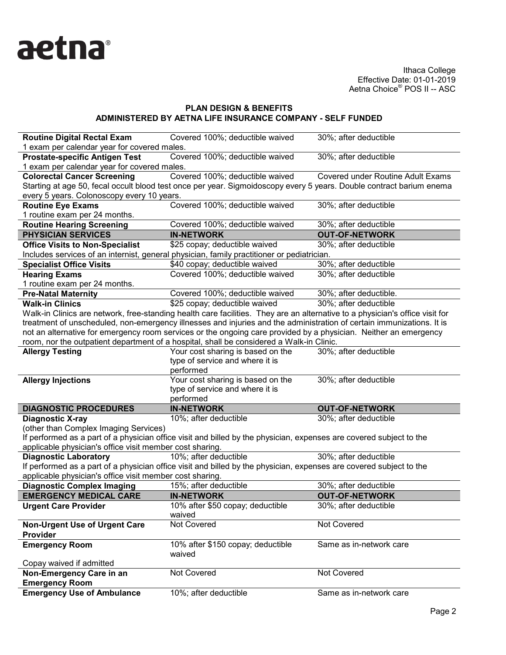

### **PLAN DESIGN & BENEFITS ADMINISTERED BY AETNA LIFE INSURANCE COMPANY - SELF FUNDED**

| <b>Routine Digital Rectal Exam</b>                       | Covered 100%; deductible waived                                                                                              | 30%; after deductible             |
|----------------------------------------------------------|------------------------------------------------------------------------------------------------------------------------------|-----------------------------------|
| 1 exam per calendar year for covered males.              |                                                                                                                              |                                   |
| <b>Prostate-specific Antigen Test</b>                    | Covered 100%; deductible waived                                                                                              | 30%; after deductible             |
| 1 exam per calendar year for covered males.              |                                                                                                                              |                                   |
| <b>Colorectal Cancer Screening</b>                       | Covered 100%; deductible waived                                                                                              | Covered under Routine Adult Exams |
|                                                          | Starting at age 50, fecal occult blood test once per year. Sigmoidoscopy every 5 years. Double contract barium enema         |                                   |
| every 5 years. Colonoscopy every 10 years.               |                                                                                                                              |                                   |
| <b>Routine Eye Exams</b>                                 | Covered 100%; deductible waived                                                                                              | 30%; after deductible             |
| 1 routine exam per 24 months.                            |                                                                                                                              |                                   |
| <b>Routine Hearing Screening</b>                         | Covered 100%; deductible waived                                                                                              | 30%; after deductible             |
| <b>PHYSICIAN SERVICES</b>                                | <b>IN-NETWORK</b>                                                                                                            | <b>OUT-OF-NETWORK</b>             |
| <b>Office Visits to Non-Specialist</b>                   | \$25 copay; deductible waived                                                                                                | 30%; after deductible             |
|                                                          | Includes services of an internist, general physician, family practitioner or pediatrician.                                   |                                   |
| <b>Specialist Office Visits</b>                          | \$40 copay; deductible waived                                                                                                | 30%; after deductible             |
| <b>Hearing Exams</b>                                     | Covered 100%; deductible waived                                                                                              | 30%; after deductible             |
| 1 routine exam per 24 months.                            |                                                                                                                              |                                   |
| <b>Pre-Natal Maternity</b>                               | Covered 100%; deductible waived                                                                                              | 30%; after deductible.            |
| <b>Walk-in Clinics</b>                                   | \$25 copay; deductible waived                                                                                                | 30%; after deductible             |
|                                                          | Walk-in Clinics are network, free-standing health care facilities. They are an alternative to a physician's office visit for |                                   |
|                                                          | treatment of unscheduled, non-emergency illnesses and injuries and the administration of certain immunizations. It is        |                                   |
|                                                          | not an alternative for emergency room services or the ongoing care provided by a physician. Neither an emergency             |                                   |
|                                                          | room, nor the outpatient department of a hospital, shall be considered a Walk-in Clinic.                                     |                                   |
| <b>Allergy Testing</b>                                   | Your cost sharing is based on the                                                                                            | 30%; after deductible             |
|                                                          | type of service and where it is                                                                                              |                                   |
|                                                          | performed                                                                                                                    |                                   |
| <b>Allergy Injections</b>                                | Your cost sharing is based on the                                                                                            | 30%; after deductible             |
|                                                          | type of service and where it is                                                                                              |                                   |
|                                                          | performed                                                                                                                    |                                   |
| <b>DIAGNOSTIC PROCEDURES</b>                             | <b>IN-NETWORK</b>                                                                                                            | <b>OUT-OF-NETWORK</b>             |
| <b>Diagnostic X-ray</b>                                  | 10%; after deductible                                                                                                        | 30%; after deductible             |
| (other than Complex Imaging Services)                    |                                                                                                                              |                                   |
|                                                          | If performed as a part of a physician office visit and billed by the physician, expenses are covered subject to the          |                                   |
| applicable physician's office visit member cost sharing. |                                                                                                                              |                                   |
| <b>Diagnostic Laboratory</b>                             | 10%; after deductible                                                                                                        | 30%; after deductible             |
|                                                          | If performed as a part of a physician office visit and billed by the physician, expenses are covered subject to the          |                                   |
| applicable physician's office visit member cost sharing. |                                                                                                                              |                                   |
| <b>Diagnostic Complex Imaging</b>                        | 15%; after deductible                                                                                                        | 30%; after deductible             |
| <b>EMERGENCY MEDICAL CARE</b>                            | <b>IN-NETWORK</b>                                                                                                            | <b>OUT-OF-NETWORK</b>             |
| <b>Urgent Care Provider</b>                              | 10% after \$50 copay; deductible<br>waived                                                                                   | 30%; after deductible             |
| <b>Non-Urgent Use of Urgent Care</b><br>Provider         | Not Covered                                                                                                                  | Not Covered                       |
| <b>Emergency Room</b>                                    |                                                                                                                              |                                   |
|                                                          | 10% after \$150 copay; deductible<br>waived                                                                                  | Same as in-network care           |
| Copay waived if admitted                                 |                                                                                                                              |                                   |
| Non-Emergency Care in an<br><b>Emergency Room</b>        | Not Covered                                                                                                                  | Not Covered                       |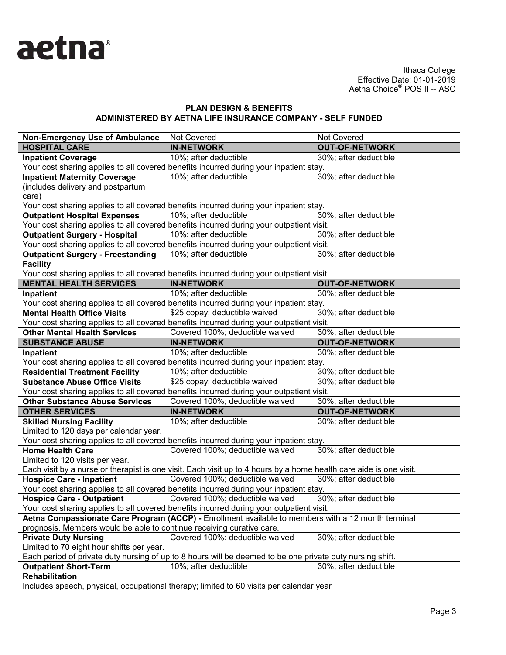

## **PLAN DESIGN & BENEFITS ADMINISTERED BY AETNA LIFE INSURANCE COMPANY - SELF FUNDED**

| <b>Non-Emergency Use of Ambulance</b>                                                              | Not Covered                                                                                                        | Not Covered           |  |  |
|----------------------------------------------------------------------------------------------------|--------------------------------------------------------------------------------------------------------------------|-----------------------|--|--|
| <b>HOSPITAL CARE</b>                                                                               | <b>IN-NETWORK</b>                                                                                                  | <b>OUT-OF-NETWORK</b> |  |  |
| <b>Inpatient Coverage</b>                                                                          | 10%; after deductible                                                                                              | 30%; after deductible |  |  |
|                                                                                                    | Your cost sharing applies to all covered benefits incurred during your inpatient stay.                             |                       |  |  |
| <b>Inpatient Maternity Coverage</b>                                                                | 10%; after deductible                                                                                              | 30%; after deductible |  |  |
| (includes delivery and postpartum                                                                  |                                                                                                                    |                       |  |  |
| care)                                                                                              |                                                                                                                    |                       |  |  |
|                                                                                                    | Your cost sharing applies to all covered benefits incurred during your inpatient stay.                             |                       |  |  |
| <b>Outpatient Hospital Expenses</b>                                                                | 10%; after deductible                                                                                              | 30%; after deductible |  |  |
|                                                                                                    | Your cost sharing applies to all covered benefits incurred during your outpatient visit.                           |                       |  |  |
| <b>Outpatient Surgery - Hospital</b>                                                               | 10%; after deductible                                                                                              | 30%; after deductible |  |  |
|                                                                                                    | Your cost sharing applies to all covered benefits incurred during your outpatient visit.                           |                       |  |  |
| <b>Outpatient Surgery - Freestanding</b>                                                           | 10%; after deductible                                                                                              | 30%; after deductible |  |  |
| <b>Facility</b>                                                                                    |                                                                                                                    |                       |  |  |
|                                                                                                    | Your cost sharing applies to all covered benefits incurred during your outpatient visit.                           |                       |  |  |
| <b>MENTAL HEALTH SERVICES</b>                                                                      | <b>IN-NETWORK</b>                                                                                                  | <b>OUT-OF-NETWORK</b> |  |  |
| Inpatient                                                                                          | 10%; after deductible                                                                                              | 30%; after deductible |  |  |
|                                                                                                    | Your cost sharing applies to all covered benefits incurred during your inpatient stay.                             |                       |  |  |
| <b>Mental Health Office Visits</b>                                                                 | \$25 copay; deductible waived                                                                                      | 30%; after deductible |  |  |
|                                                                                                    | Your cost sharing applies to all covered benefits incurred during your outpatient visit.                           |                       |  |  |
| <b>Other Mental Health Services</b>                                                                | Covered 100%; deductible waived                                                                                    | 30%; after deductible |  |  |
| <b>SUBSTANCE ABUSE</b>                                                                             | <b>IN-NETWORK</b>                                                                                                  | <b>OUT-OF-NETWORK</b> |  |  |
| Inpatient                                                                                          | 10%; after deductible                                                                                              | 30%; after deductible |  |  |
|                                                                                                    | Your cost sharing applies to all covered benefits incurred during your inpatient stay.                             |                       |  |  |
| <b>Residential Treatment Facility</b>                                                              | 10%; after deductible                                                                                              | 30%; after deductible |  |  |
| <b>Substance Abuse Office Visits</b>                                                               | \$25 copay; deductible waived                                                                                      | 30%; after deductible |  |  |
|                                                                                                    | Your cost sharing applies to all covered benefits incurred during your outpatient visit.                           |                       |  |  |
| <b>Other Substance Abuse Services</b>                                                              | Covered 100%; deductible waived                                                                                    | 30%; after deductible |  |  |
| <b>OTHER SERVICES</b>                                                                              | <b>IN-NETWORK</b>                                                                                                  | <b>OUT-OF-NETWORK</b> |  |  |
| <b>Skilled Nursing Facility</b>                                                                    | 10%; after deductible                                                                                              | 30%; after deductible |  |  |
| Limited to 120 days per calendar year.                                                             |                                                                                                                    |                       |  |  |
|                                                                                                    | Your cost sharing applies to all covered benefits incurred during your inpatient stay.                             |                       |  |  |
| <b>Home Health Care</b>                                                                            | Covered 100%; deductible waived                                                                                    | 30%; after deductible |  |  |
| Limited to 120 visits per year.                                                                    |                                                                                                                    |                       |  |  |
|                                                                                                    | Each visit by a nurse or therapist is one visit. Each visit up to 4 hours by a home health care aide is one visit. |                       |  |  |
| <b>Hospice Care - Inpatient</b>                                                                    | Covered 100%; deductible waived                                                                                    | 30%; after deductible |  |  |
|                                                                                                    | Your cost sharing applies to all covered benefits incurred during your inpatient stay.                             |                       |  |  |
| <b>Hospice Care - Outpatient</b>                                                                   | Covered 100%; deductible waived                                                                                    | 30%; after deductible |  |  |
|                                                                                                    | Your cost sharing applies to all covered benefits incurred during your outpatient visit.                           |                       |  |  |
| Aetna Compassionate Care Program (ACCP) - Enrollment available to members with a 12 month terminal |                                                                                                                    |                       |  |  |
| prognosis. Members would be able to continue receiving curative care.                              |                                                                                                                    |                       |  |  |
| <b>Private Duty Nursing</b>                                                                        | Covered 100%; deductible waived                                                                                    | 30%; after deductible |  |  |
| Limited to 70 eight hour shifts per year.                                                          |                                                                                                                    |                       |  |  |
|                                                                                                    | Each period of private duty nursing of up to 8 hours will be deemed to be one private duty nursing shift.          |                       |  |  |
| <b>Outpatient Short-Term</b>                                                                       | 10%; after deductible                                                                                              | 30%; after deductible |  |  |
| <b>Rehabilitation</b>                                                                              |                                                                                                                    |                       |  |  |

Includes speech, physical, occupational therapy; limited to 60 visits per calendar year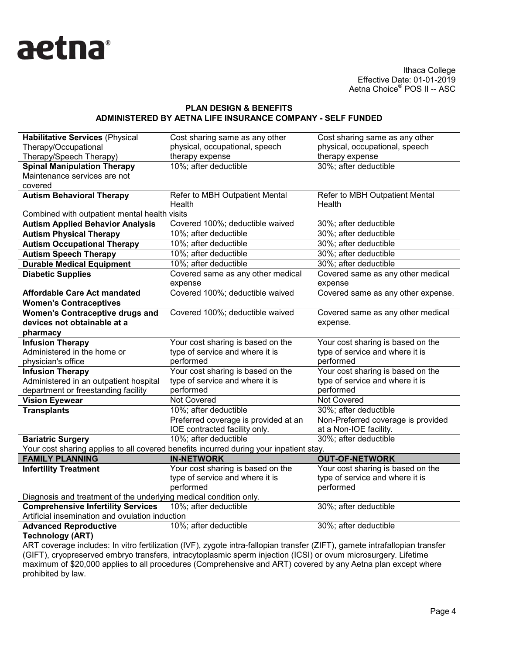

#### **PLAN DESIGN & BENEFITS ADMINISTERED BY AETNA LIFE INSURANCE COMPANY - SELF FUNDED**

| <b>Habilitative Services (Physical</b>                            | Cost sharing same as any other                                                         | Cost sharing same as any other     |
|-------------------------------------------------------------------|----------------------------------------------------------------------------------------|------------------------------------|
| Therapy/Occupational                                              | physical, occupational, speech                                                         | physical, occupational, speech     |
| Therapy/Speech Therapy)                                           | therapy expense                                                                        | therapy expense                    |
| <b>Spinal Manipulation Therapy</b>                                | 10%; after deductible                                                                  | 30%; after deductible              |
| Maintenance services are not                                      |                                                                                        |                                    |
| covered                                                           |                                                                                        |                                    |
| <b>Autism Behavioral Therapy</b>                                  | Refer to MBH Outpatient Mental                                                         | Refer to MBH Outpatient Mental     |
|                                                                   | Health                                                                                 | Health                             |
| Combined with outpatient mental health visits                     |                                                                                        |                                    |
| <b>Autism Applied Behavior Analysis</b>                           | Covered 100%; deductible waived                                                        | 30%; after deductible              |
| <b>Autism Physical Therapy</b>                                    | 10%; after deductible                                                                  | 30%; after deductible              |
| <b>Autism Occupational Therapy</b>                                | 10%; after deductible                                                                  | 30%; after deductible              |
| <b>Autism Speech Therapy</b>                                      | 10%; after deductible                                                                  | 30%; after deductible              |
| <b>Durable Medical Equipment</b>                                  | 10%; after deductible                                                                  | 30%; after deductible              |
| <b>Diabetic Supplies</b>                                          | Covered same as any other medical                                                      | Covered same as any other medical  |
|                                                                   | expense                                                                                | expense                            |
| <b>Affordable Care Act mandated</b>                               | Covered 100%; deductible waived                                                        | Covered same as any other expense. |
| <b>Women's Contraceptives</b>                                     |                                                                                        |                                    |
| <b>Women's Contraceptive drugs and</b>                            | Covered 100%; deductible waived                                                        | Covered same as any other medical  |
| devices not obtainable at a                                       |                                                                                        | expense.                           |
| pharmacy                                                          |                                                                                        |                                    |
| <b>Infusion Therapy</b>                                           | Your cost sharing is based on the                                                      | Your cost sharing is based on the  |
| Administered in the home or                                       | type of service and where it is                                                        | type of service and where it is    |
| physician's office                                                | performed                                                                              | performed                          |
| <b>Infusion Therapy</b>                                           | Your cost sharing is based on the                                                      | Your cost sharing is based on the  |
| Administered in an outpatient hospital                            | type of service and where it is                                                        | type of service and where it is    |
| department or freestanding facility                               | performed                                                                              | performed                          |
| <b>Vision Eyewear</b>                                             | Not Covered                                                                            | Not Covered                        |
| <b>Transplants</b>                                                | 10%; after deductible                                                                  | 30%; after deductible              |
|                                                                   | Preferred coverage is provided at an                                                   | Non-Preferred coverage is provided |
|                                                                   | IOE contracted facility only.                                                          | at a Non-IOE facility.             |
| <b>Bariatric Surgery</b>                                          | 10%; after deductible                                                                  | 30%; after deductible              |
|                                                                   | Your cost sharing applies to all covered benefits incurred during your inpatient stay. |                                    |
| <b>FAMILY PLANNING</b>                                            | <b>IN-NETWORK</b>                                                                      | <b>OUT-OF-NETWORK</b>              |
| <b>Infertility Treatment</b>                                      | Your cost sharing is based on the                                                      | Your cost sharing is based on the  |
|                                                                   | type of service and where it is                                                        | type of service and where it is    |
|                                                                   | performed                                                                              | performed                          |
| Diagnosis and treatment of the underlying medical condition only. |                                                                                        |                                    |
| <b>Comprehensive Infertility Services</b>                         | 10%; after deductible                                                                  | 30%; after deductible              |
| Artificial insemination and ovulation induction                   |                                                                                        |                                    |
|                                                                   |                                                                                        |                                    |
| <b>Advanced Reproductive</b><br><b>Technology (ART)</b>           | 10%; after deductible                                                                  | 30%; after deductible              |

ART coverage includes: In vitro fertilization (IVF), zygote intra-fallopian transfer (ZIFT), gamete intrafallopian transfer (GIFT), cryopreserved embryo transfers, intracytoplasmic sperm injection (ICSI) or ovum microsurgery. Lifetime maximum of \$20,000 applies to all procedures (Comprehensive and ART) covered by any Aetna plan except where prohibited by law.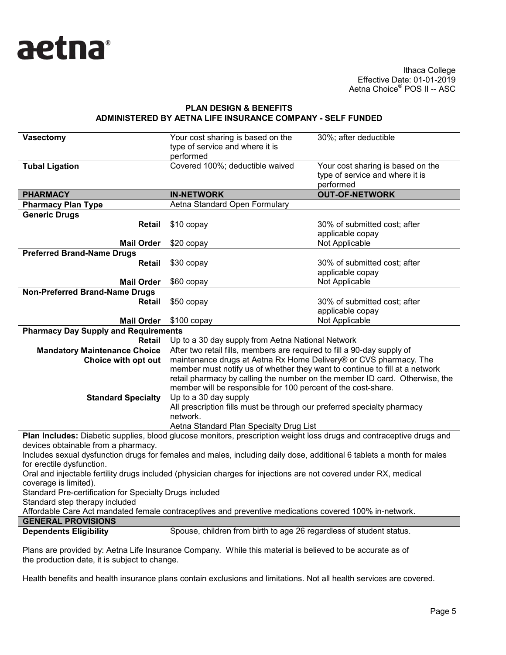

### **PLAN DESIGN & BENEFITS ADMINISTERED BY AETNA LIFE INSURANCE COMPANY - SELF FUNDED**

| <b>Vasectomy</b>                                                                                                                                                                                                                                                                                                                                                                                                                                                                                                                                                                                                                                                                                   | Your cost sharing is based on the<br>type of service and where it is<br>performed                                                                                                                                                                                                                                                                                                                                                                                                           | 30%; after deductible                                                             |  |  |
|----------------------------------------------------------------------------------------------------------------------------------------------------------------------------------------------------------------------------------------------------------------------------------------------------------------------------------------------------------------------------------------------------------------------------------------------------------------------------------------------------------------------------------------------------------------------------------------------------------------------------------------------------------------------------------------------------|---------------------------------------------------------------------------------------------------------------------------------------------------------------------------------------------------------------------------------------------------------------------------------------------------------------------------------------------------------------------------------------------------------------------------------------------------------------------------------------------|-----------------------------------------------------------------------------------|--|--|
| <b>Tubal Ligation</b>                                                                                                                                                                                                                                                                                                                                                                                                                                                                                                                                                                                                                                                                              | Covered 100%; deductible waived                                                                                                                                                                                                                                                                                                                                                                                                                                                             | Your cost sharing is based on the<br>type of service and where it is<br>performed |  |  |
| <b>PHARMACY</b>                                                                                                                                                                                                                                                                                                                                                                                                                                                                                                                                                                                                                                                                                    | <b>IN-NETWORK</b>                                                                                                                                                                                                                                                                                                                                                                                                                                                                           | <b>OUT-OF-NETWORK</b>                                                             |  |  |
| <b>Pharmacy Plan Type</b>                                                                                                                                                                                                                                                                                                                                                                                                                                                                                                                                                                                                                                                                          | Aetna Standard Open Formulary                                                                                                                                                                                                                                                                                                                                                                                                                                                               |                                                                                   |  |  |
| <b>Generic Drugs</b><br>Retail                                                                                                                                                                                                                                                                                                                                                                                                                                                                                                                                                                                                                                                                     | \$10 copay                                                                                                                                                                                                                                                                                                                                                                                                                                                                                  | 30% of submitted cost; after<br>applicable copay                                  |  |  |
| <b>Mail Order</b>                                                                                                                                                                                                                                                                                                                                                                                                                                                                                                                                                                                                                                                                                  | \$20 copay                                                                                                                                                                                                                                                                                                                                                                                                                                                                                  | Not Applicable                                                                    |  |  |
| <b>Preferred Brand-Name Drugs</b>                                                                                                                                                                                                                                                                                                                                                                                                                                                                                                                                                                                                                                                                  |                                                                                                                                                                                                                                                                                                                                                                                                                                                                                             |                                                                                   |  |  |
| <b>Retail</b>                                                                                                                                                                                                                                                                                                                                                                                                                                                                                                                                                                                                                                                                                      | \$30 copay                                                                                                                                                                                                                                                                                                                                                                                                                                                                                  | 30% of submitted cost; after<br>applicable copay                                  |  |  |
| <b>Mail Order</b>                                                                                                                                                                                                                                                                                                                                                                                                                                                                                                                                                                                                                                                                                  | \$60 copay                                                                                                                                                                                                                                                                                                                                                                                                                                                                                  | Not Applicable                                                                    |  |  |
| <b>Non-Preferred Brand-Name Drugs</b><br>Retail                                                                                                                                                                                                                                                                                                                                                                                                                                                                                                                                                                                                                                                    | \$50 copay                                                                                                                                                                                                                                                                                                                                                                                                                                                                                  | 30% of submitted cost; after<br>applicable copay                                  |  |  |
| <b>Mail Order</b>                                                                                                                                                                                                                                                                                                                                                                                                                                                                                                                                                                                                                                                                                  | \$100 copay                                                                                                                                                                                                                                                                                                                                                                                                                                                                                 | Not Applicable                                                                    |  |  |
| <b>Pharmacy Day Supply and Requirements</b>                                                                                                                                                                                                                                                                                                                                                                                                                                                                                                                                                                                                                                                        |                                                                                                                                                                                                                                                                                                                                                                                                                                                                                             |                                                                                   |  |  |
| <b>Retail</b>                                                                                                                                                                                                                                                                                                                                                                                                                                                                                                                                                                                                                                                                                      | Up to a 30 day supply from Aetna National Network                                                                                                                                                                                                                                                                                                                                                                                                                                           |                                                                                   |  |  |
| <b>Mandatory Maintenance Choice</b><br>Choice with opt out<br><b>Standard Specialty</b>                                                                                                                                                                                                                                                                                                                                                                                                                                                                                                                                                                                                            | After two retail fills, members are required to fill a 90-day supply of<br>maintenance drugs at Aetna Rx Home Delivery® or CVS pharmacy. The<br>member must notify us of whether they want to continue to fill at a network<br>retail pharmacy by calling the number on the member ID card. Otherwise, the<br>member will be responsible for 100 percent of the cost-share.<br>Up to a 30 day supply<br>All prescription fills must be through our preferred specialty pharmacy<br>network. |                                                                                   |  |  |
|                                                                                                                                                                                                                                                                                                                                                                                                                                                                                                                                                                                                                                                                                                    | Aetna Standard Plan Specialty Drug List                                                                                                                                                                                                                                                                                                                                                                                                                                                     |                                                                                   |  |  |
| Plan Includes: Diabetic supplies, blood glucose monitors, prescription weight loss drugs and contraceptive drugs and<br>devices obtainable from a pharmacy.<br>Includes sexual dysfunction drugs for females and males, including daily dose, additional 6 tablets a month for males<br>for erectile dysfunction.<br>Oral and injectable fertility drugs included (physician charges for injections are not covered under RX, medical<br>coverage is limited).<br>Standard Pre-certification for Specialty Drugs included<br>Standard step therapy included<br>Affordable Care Act mandated female contraceptives and preventive medications covered 100% in-network.<br><b>GENERAL PROVISIONS</b> |                                                                                                                                                                                                                                                                                                                                                                                                                                                                                             |                                                                                   |  |  |
| <b>Dependents Eligibility</b>                                                                                                                                                                                                                                                                                                                                                                                                                                                                                                                                                                                                                                                                      | Spouse, children from birth to age 26 regardless of student status.                                                                                                                                                                                                                                                                                                                                                                                                                         |                                                                                   |  |  |
|                                                                                                                                                                                                                                                                                                                                                                                                                                                                                                                                                                                                                                                                                                    |                                                                                                                                                                                                                                                                                                                                                                                                                                                                                             |                                                                                   |  |  |
| Plans are provided by: Aetna Life Insurance Company While this material is believed to be accurate as of                                                                                                                                                                                                                                                                                                                                                                                                                                                                                                                                                                                           |                                                                                                                                                                                                                                                                                                                                                                                                                                                                                             |                                                                                   |  |  |

ompany. While this material is believed to be accurate as o the production date, it is subject to change.

Health benefits and health insurance plans contain exclusions and limitations. Not all health services are covered.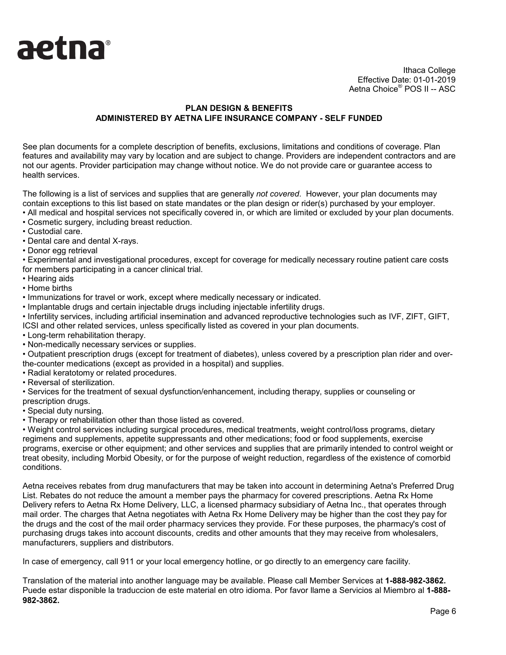

## **PLAN DESIGN & BENEFITS ADMINISTERED BY AETNA LIFE INSURANCE COMPANY - SELF FUNDED**

See plan documents for a complete description of benefits, exclusions, limitations and conditions of coverage. Plan features and availability may vary by location and are subject to change. Providers are independent contractors and are not our agents. Provider participation may change without notice. We do not provide care or guarantee access to health services.

The following is a list of services and supplies that are generally *not covered*. However, your plan documents may contain exceptions to this list based on state mandates or the plan design or rider(s) purchased by your employer.

- All medical and hospital services not specifically covered in, or which are limited or excluded by your plan documents.
- Cosmetic surgery, including breast reduction.
- Custodial care.
- Dental care and dental X-rays.
- Donor egg retrieval

• Experimental and investigational procedures, except for coverage for medically necessary routine patient care costs for members participating in a cancer clinical trial.

- Hearing aids
- Home births
- Immunizations for travel or work, except where medically necessary or indicated.
- Implantable drugs and certain injectable drugs including injectable infertility drugs.
- Infertility services, including artificial insemination and advanced reproductive technologies such as IVF, ZIFT, GIFT, ICSI and other related services, unless specifically listed as covered in your plan documents.
- Long-term rehabilitation therapy.
- Non-medically necessary services or supplies.

• Outpatient prescription drugs (except for treatment of diabetes), unless covered by a prescription plan rider and overthe-counter medications (except as provided in a hospital) and supplies.

- Radial keratotomy or related procedures.
- Reversal of sterilization.

• Services for the treatment of sexual dysfunction/enhancement, including therapy, supplies or counseling or prescription drugs.

- Special duty nursing.
- Therapy or rehabilitation other than those listed as covered.

• Weight control services including surgical procedures, medical treatments, weight control/loss programs, dietary regimens and supplements, appetite suppressants and other medications; food or food supplements, exercise programs, exercise or other equipment; and other services and supplies that are primarily intended to control weight or treat obesity, including Morbid Obesity, or for the purpose of weight reduction, regardless of the existence of comorbid conditions.

Aetna receives rebates from drug manufacturers that may be taken into account in determining Aetna's Preferred Drug List. Rebates do not reduce the amount a member pays the pharmacy for covered prescriptions. Aetna Rx Home Delivery refers to Aetna Rx Home Delivery, LLC, a licensed pharmacy subsidiary of Aetna Inc., that operates through mail order. The charges that Aetna negotiates with Aetna Rx Home Delivery may be higher than the cost they pay for the drugs and the cost of the mail order pharmacy services they provide. For these purposes, the pharmacy's cost of purchasing drugs takes into account discounts, credits and other amounts that they may receive from wholesalers, manufacturers, suppliers and distributors.

In case of emergency, call 911 or your local emergency hotline, or go directly to an emergency care facility.

Translation of the material into another language may be available. Please call Member Services at **1-888-982-3862.** Puede estar disponible la traduccion de este material en otro idioma. Por favor llame a Servicios al Miembro al **1-888- 982-3862.**